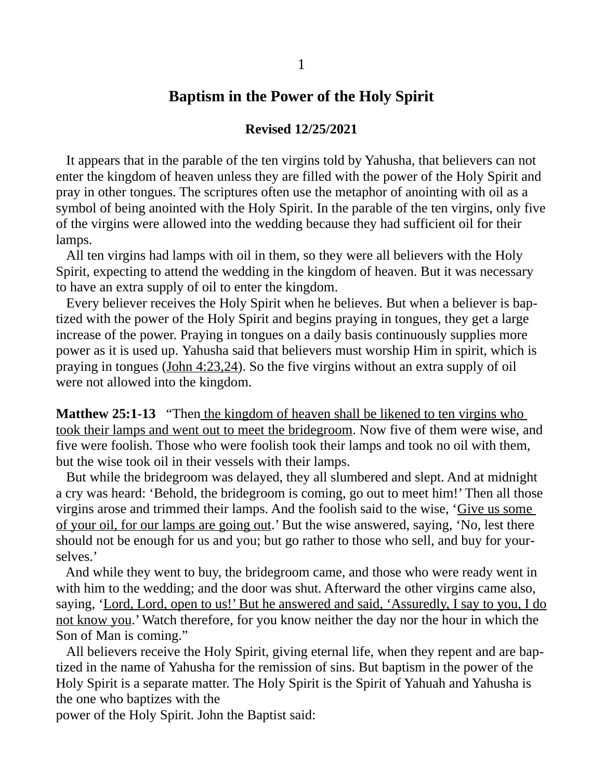## **Baptism in the Power of the Holy Spirit**

## **Revised 12/25/2021**

 It appears that in the parable of the ten virgins told by Yahusha, that believers can not enter the kingdom of heaven unless they are filled with the power of the Holy Spirit and pray in other tongues. The scriptures often use the metaphor of anointing with oil as a symbol of being anointed with the Holy Spirit. In the parable of the ten virgins, only five of the virgins were allowed into the wedding because they had sufficient oil for their lamps.

 All ten virgins had lamps with oil in them, so they were all believers with the Holy Spirit, expecting to attend the wedding in the kingdom of heaven. But it was necessary to have an extra supply of oil to enter the kingdom.

 Every believer receives the Holy Spirit when he believes. But when a believer is baptized with the power of the Holy Spirit and begins praying in tongues, they get a large increase of the power. Praying in tongues on a daily basis continuously supplies more power as it is used up. Yahusha said that believers must worship Him in spirit, which is praying in tongues (John 4:23,24). So the five virgins without an extra supply of oil were not allowed into the kingdom.

**Matthew 25:1-13** "Then the kingdom of heaven shall be likened to ten virgins who took their lamps and went out to meet the bridegroom. Now five of them were wise, and five were foolish. Those who were foolish took their lamps and took no oil with them, but the wise took oil in their vessels with their lamps.

 But while the bridegroom was delayed, they all slumbered and slept. And at midnight a cry was heard: 'Behold, the bridegroom is coming, go out to meet him!' Then all those virgins arose and trimmed their lamps. And the foolish said to the wise, 'Give us some of your oil, for our lamps are going out.' But the wise answered, saying, 'No, lest there should not be enough for us and you; but go rather to those who sell, and buy for yourselves.'

 And while they went to buy, the bridegroom came, and those who were ready went in with him to the wedding; and the door was shut. Afterward the other virgins came also, saying, 'Lord, Lord, open to us!' But he answered and said, 'Assuredly, I say to you, I do not know you.' Watch therefore, for you know neither the day nor the hour in which the Son of Man is coming."

 All believers receive the Holy Spirit, giving eternal life, when they repent and are baptized in the name of Yahusha for the remission of sins. But baptism in the power of the Holy Spirit is a separate matter. The Holy Spirit is the Spirit of Yahuah and Yahusha is the one who baptizes with the

power of the Holy Spirit. John the Baptist said: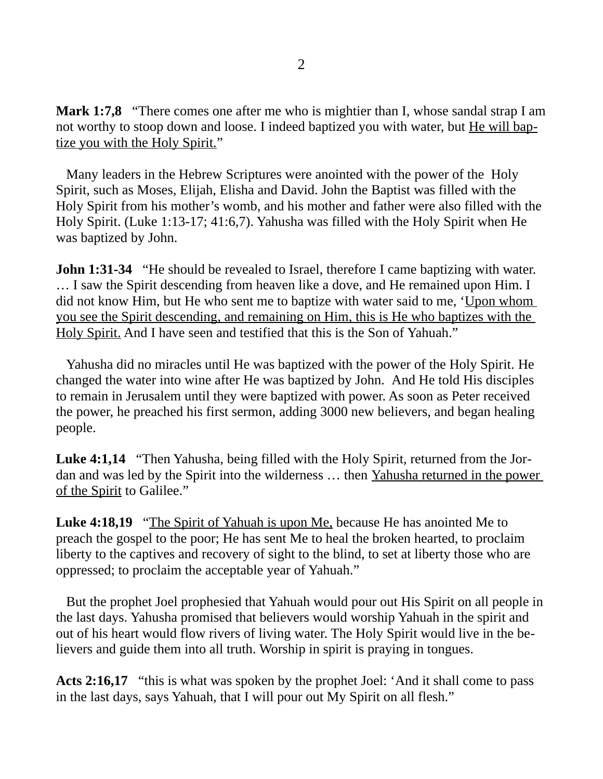**Mark 1:7,8** "There comes one after me who is mightier than I, whose sandal strap I am not worthy to stoop down and loose. I indeed baptized you with water, but He will baptize you with the Holy Spirit."

 Many leaders in the Hebrew Scriptures were anointed with the power of the Holy Spirit, such as Moses, Elijah, Elisha and David. John the Baptist was filled with the Holy Spirit from his mother's womb, and his mother and father were also filled with the Holy Spirit. (Luke 1:13-17; 41:6,7). Yahusha was filled with the Holy Spirit when He was baptized by John.

**John 1:31-34** "He should be revealed to Israel, therefore I came baptizing with water. … I saw the Spirit descending from heaven like a dove, and He remained upon Him. I did not know Him, but He who sent me to baptize with water said to me, 'Upon whom you see the Spirit descending, and remaining on Him, this is He who baptizes with the Holy Spirit. And I have seen and testified that this is the Son of Yahuah."

 Yahusha did no miracles until He was baptized with the power of the Holy Spirit. He changed the water into wine after He was baptized by John. And He told His disciples to remain in Jerusalem until they were baptized with power. As soon as Peter received the power, he preached his first sermon, adding 3000 new believers, and began healing people.

**Luke 4:1,14** "Then Yahusha, being filled with the Holy Spirit, returned from the Jordan and was led by the Spirit into the wilderness … then Yahusha returned in the power of the Spirit to Galilee."

**Luke 4:18,19** "The Spirit of Yahuah is upon Me, because He has anointed Me to preach the gospel to the poor; He has sent Me to heal the broken hearted, to proclaim liberty to the captives and recovery of sight to the blind, to set at liberty those who are oppressed; to proclaim the acceptable year of Yahuah."

 But the prophet Joel prophesied that Yahuah would pour out His Spirit on all people in the last days. Yahusha promised that believers would worship Yahuah in the spirit and out of his heart would flow rivers of living water. The Holy Spirit would live in the believers and guide them into all truth. Worship in spirit is praying in tongues.

**Acts 2:16,17** "this is what was spoken by the prophet Joel: 'And it shall come to pass in the last days, says Yahuah, that I will pour out My Spirit on all flesh."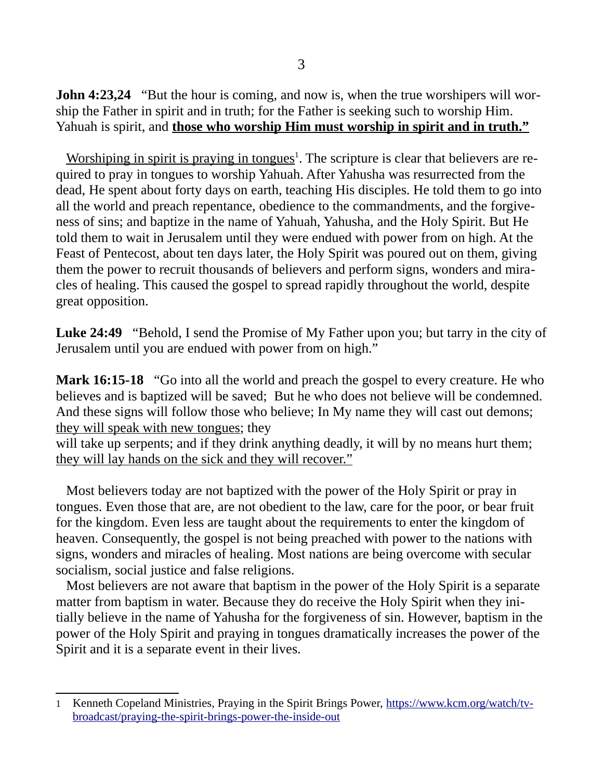**John 4:23,24** "But the hour is coming, and now is, when the true worshipers will worship the Father in spirit and in truth; for the Father is seeking such to worship Him. Yahuah is spirit, and **those who worship Him must worship in spirit and in truth."**

Worshiping in spirit is praying in tongues<sup>[1](#page-2-0)</sup>. The scripture is clear that believers are required to pray in tongues to worship Yahuah. After Yahusha was resurrected from the dead, He spent about forty days on earth, teaching His disciples. He told them to go into all the world and preach repentance, obedience to the commandments, and the forgiveness of sins; and baptize in the name of Yahuah, Yahusha, and the Holy Spirit. But He told them to wait in Jerusalem until they were endued with power from on high. At the Feast of Pentecost, about ten days later, the Holy Spirit was poured out on them, giving them the power to recruit thousands of believers and perform signs, wonders and miracles of healing. This caused the gospel to spread rapidly throughout the world, despite great opposition.

**Luke 24:49** "Behold, I send the Promise of My Father upon you; but tarry in the city of Jerusalem until you are endued with power from on high."

**Mark 16:15-18** "Go into all the world and preach the gospel to every creature. He who believes and is baptized will be saved; But he who does not believe will be condemned. And these signs will follow those who believe; In My name they will cast out demons; they will speak with new tongues; they

will take up serpents; and if they drink anything deadly, it will by no means hurt them; they will lay hands on the sick and they will recover."

 Most believers today are not baptized with the power of the Holy Spirit or pray in tongues. Even those that are, are not obedient to the law, care for the poor, or bear fruit for the kingdom. Even less are taught about the requirements to enter the kingdom of heaven. Consequently, the gospel is not being preached with power to the nations with signs, wonders and miracles of healing. Most nations are being overcome with secular socialism, social justice and false religions.

 Most believers are not aware that baptism in the power of the Holy Spirit is a separate matter from baptism in water. Because they do receive the Holy Spirit when they initially believe in the name of Yahusha for the forgiveness of sin. However, baptism in the power of the Holy Spirit and praying in tongues dramatically increases the power of the Spirit and it is a separate event in their lives.

<span id="page-2-0"></span><sup>1</sup> Kenneth Copeland Ministries, Praying in the Spirit Brings Power, [https://www.kcm.org/watch/tv](https://www.kcm.org/watch/tv-broadcast/praying-the-spirit-brings-power-the-inside-out)[broadcast/praying-the-spirit-brings-power-the-inside-out](https://www.kcm.org/watch/tv-broadcast/praying-the-spirit-brings-power-the-inside-out)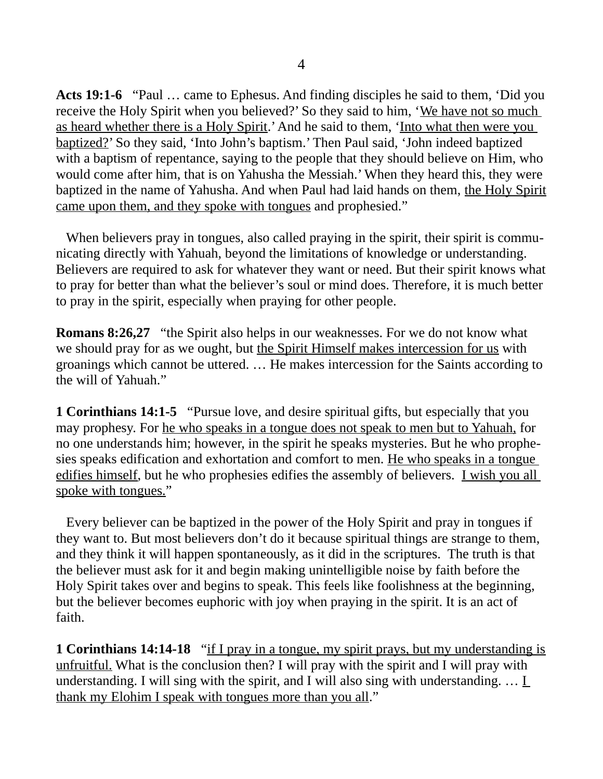**Acts 19:1-6** "Paul … came to Ephesus. And finding disciples he said to them, 'Did you receive the Holy Spirit when you believed?' So they said to him, 'We have not so much as heard whether there is a Holy Spirit.' And he said to them, 'Into what then were you baptized?' So they said, 'Into John's baptism.' Then Paul said, 'John indeed baptized with a baptism of repentance, saying to the people that they should believe on Him, who would come after him, that is on Yahusha the Messiah.' When they heard this, they were baptized in the name of Yahusha. And when Paul had laid hands on them, the Holy Spirit came upon them, and they spoke with tongues and prophesied."

When believers pray in tongues, also called praying in the spirit, their spirit is communicating directly with Yahuah, beyond the limitations of knowledge or understanding. Believers are required to ask for whatever they want or need. But their spirit knows what to pray for better than what the believer's soul or mind does. Therefore, it is much better to pray in the spirit, especially when praying for other people.

**Romans 8:26,27** "the Spirit also helps in our weaknesses. For we do not know what we should pray for as we ought, but the Spirit Himself makes intercession for us with groanings which cannot be uttered. … He makes intercession for the Saints according to the will of Yahuah."

**1 Corinthians 14:1-5** "Pursue love, and desire spiritual gifts, but especially that you may prophesy. For he who speaks in a tongue does not speak to men but to Yahuah, for no one understands him; however, in the spirit he speaks mysteries. But he who prophesies speaks edification and exhortation and comfort to men. He who speaks in a tongue edifies himself, but he who prophesies edifies the assembly of believers. I wish you all spoke with tongues."

 Every believer can be baptized in the power of the Holy Spirit and pray in tongues if they want to. But most believers don't do it because spiritual things are strange to them, and they think it will happen spontaneously, as it did in the scriptures. The truth is that the believer must ask for it and begin making unintelligible noise by faith before the Holy Spirit takes over and begins to speak. This feels like foolishness at the beginning, but the believer becomes euphoric with joy when praying in the spirit. It is an act of faith.

**1 Corinthians 14:14-18** "if I pray in a tongue, my spirit prays, but my understanding is unfruitful. What is the conclusion then? I will pray with the spirit and I will pray with understanding. I will sing with the spirit, and I will also sing with understanding.  $\dots \underline{I}$ thank my Elohim I speak with tongues more than you all."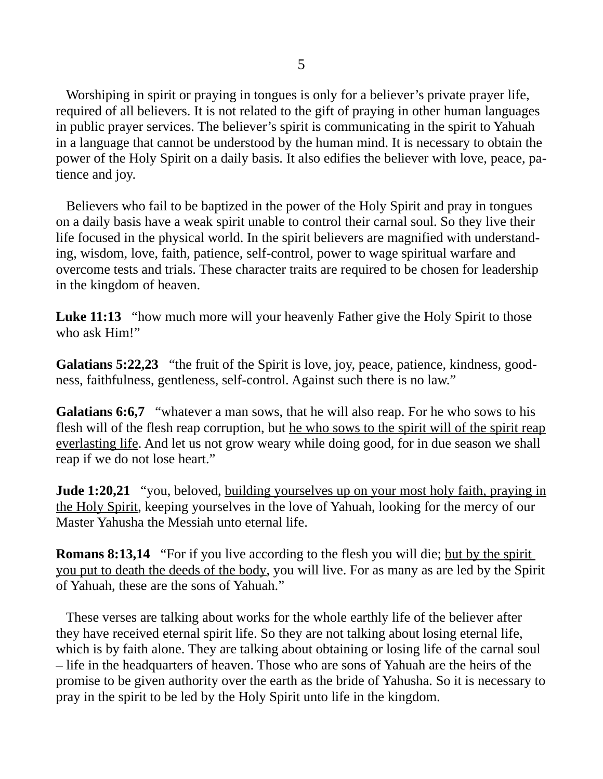Worshiping in spirit or praying in tongues is only for a believer's private prayer life, required of all believers. It is not related to the gift of praying in other human languages in public prayer services. The believer's spirit is communicating in the spirit to Yahuah in a language that cannot be understood by the human mind. It is necessary to obtain the power of the Holy Spirit on a daily basis. It also edifies the believer with love, peace, patience and joy.

 Believers who fail to be baptized in the power of the Holy Spirit and pray in tongues on a daily basis have a weak spirit unable to control their carnal soul. So they live their life focused in the physical world. In the spirit believers are magnified with understanding, wisdom, love, faith, patience, self-control, power to wage spiritual warfare and overcome tests and trials. These character traits are required to be chosen for leadership in the kingdom of heaven.

**Luke 11:13** "how much more will your heavenly Father give the Holy Spirit to those who ask Him!"

**Galatians 5:22,23** "the fruit of the Spirit is love, joy, peace, patience, kindness, goodness, faithfulness, gentleness, self-control. Against such there is no law."

**Galatians 6:6,7** "whatever a man sows, that he will also reap. For he who sows to his flesh will of the flesh reap corruption, but he who sows to the spirit will of the spirit reap everlasting life. And let us not grow weary while doing good, for in due season we shall reap if we do not lose heart."

**Jude 1:20,21** "you, beloved, building yourselves up on your most holy faith, praying in the Holy Spirit, keeping yourselves in the love of Yahuah, looking for the mercy of our Master Yahusha the Messiah unto eternal life.

**Romans 8:13,14** "For if you live according to the flesh you will die; but by the spirit you put to death the deeds of the body, you will live. For as many as are led by the Spirit of Yahuah, these are the sons of Yahuah."

 These verses are talking about works for the whole earthly life of the believer after they have received eternal spirit life. So they are not talking about losing eternal life, which is by faith alone. They are talking about obtaining or losing life of the carnal soul – life in the headquarters of heaven. Those who are sons of Yahuah are the heirs of the promise to be given authority over the earth as the bride of Yahusha. So it is necessary to pray in the spirit to be led by the Holy Spirit unto life in the kingdom.